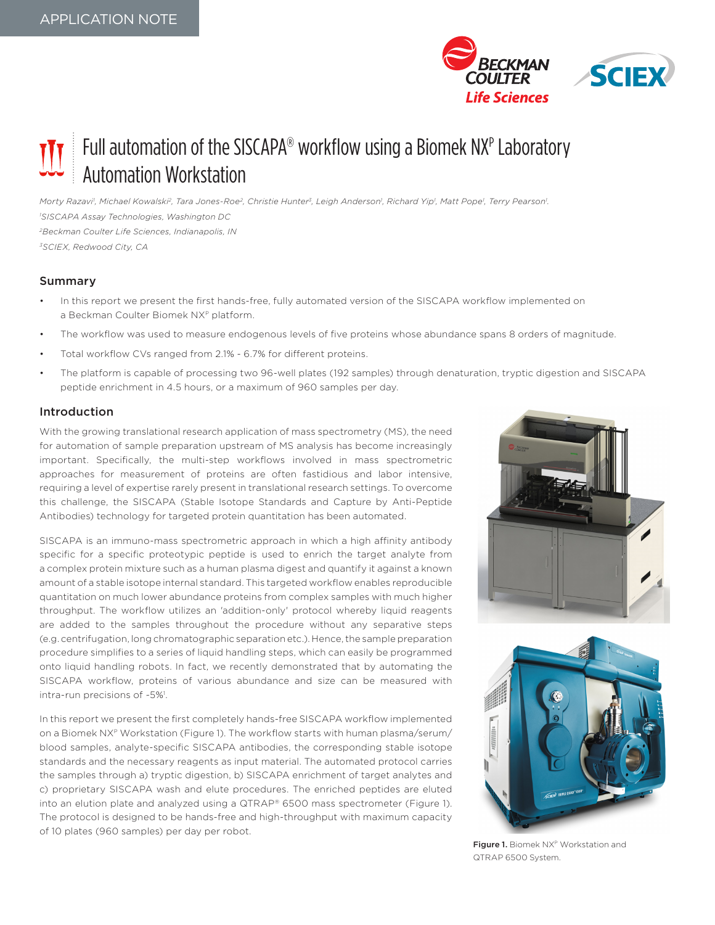

# Full automation of the SISCAPA® workflow using a Biomek NXP Laboratory Automation Workstation

Morty Razavi', Michael Kowalski<sup>2</sup>, Tara Jones-Roe<sup>2</sup>, Christie Hunter<sup>3</sup>, Leigh Anderson', Richard Yip', Matt Pope<sup>1</sup>, Terry Pearson'. *1 SISCAPA Assay Technologies, Washington DC 2Beckman Coulter Life Sciences, Indianapolis, IN 3SCIEX, Redwood City, CA*

# Summary

- In this report we present the first hands-free, fully automated version of the SISCAPA workflow implemented on a Beckman Coulter Biomek NXP platform.
- The workflow was used to measure endogenous levels of five proteins whose abundance spans 8 orders of magnitude.
- Total workflow CVs ranged from 2.1% 6.7% for different proteins.
- The platform is capable of processing two 96-well plates (192 samples) through denaturation, tryptic digestion and SISCAPA peptide enrichment in 4.5 hours, or a maximum of 960 samples per day.

# Introduction

With the growing translational research application of mass spectrometry (MS), the need for automation of sample preparation upstream of MS analysis has become increasingly important. Specifically, the multi-step workflows involved in mass spectrometric approaches for measurement of proteins are often fastidious and labor intensive, requiring a level of expertise rarely present in translational research settings. To overcome this challenge, the SISCAPA (Stable Isotope Standards and Capture by Anti-Peptide Antibodies) technology for targeted protein quantitation has been automated.

SISCAPA is an immuno-mass spectrometric approach in which a high affinity antibody specific for a specific proteotypic peptide is used to enrich the target analyte from a complex protein mixture such as a human plasma digest and quantify it against a known amount of a stable isotope internal standard. This targeted workflow enables reproducible quantitation on much lower abundance proteins from complex samples with much higher throughput. The workflow utilizes an 'addition-only' protocol whereby liquid reagents are added to the samples throughout the procedure without any separative steps (e.g. centrifugation, long chromatographic separation etc.). Hence, the sample preparation procedure simplifies to a series of liquid handling steps, which can easily be programmed onto liquid handling robots. In fact, we recently demonstrated that by automating the SISCAPA workflow, proteins of various abundance and size can be measured with intra-run precisions of ~5%<sup>1</sup>.

In this report we present the first completely hands-free SISCAPA workflow implemented on a Biomek NXP Workstation (Figure 1). The workflow starts with human plasma/serum/ blood samples, analyte-specific SISCAPA antibodies, the corresponding stable isotope standards and the necessary reagents as input material. The automated protocol carries the samples through a) tryptic digestion, b) SISCAPA enrichment of target analytes and c) proprietary SISCAPA wash and elute procedures. The enriched peptides are eluted into an elution plate and analyzed using a QTRAP® 6500 mass spectrometer (Figure 1). The protocol is designed to be hands-free and high-throughput with maximum capacity of 10 plates (960 samples) per day per robot.





Figure 1. Biomek NX<sup>P</sup> Workstation and QTRAP 6500 System.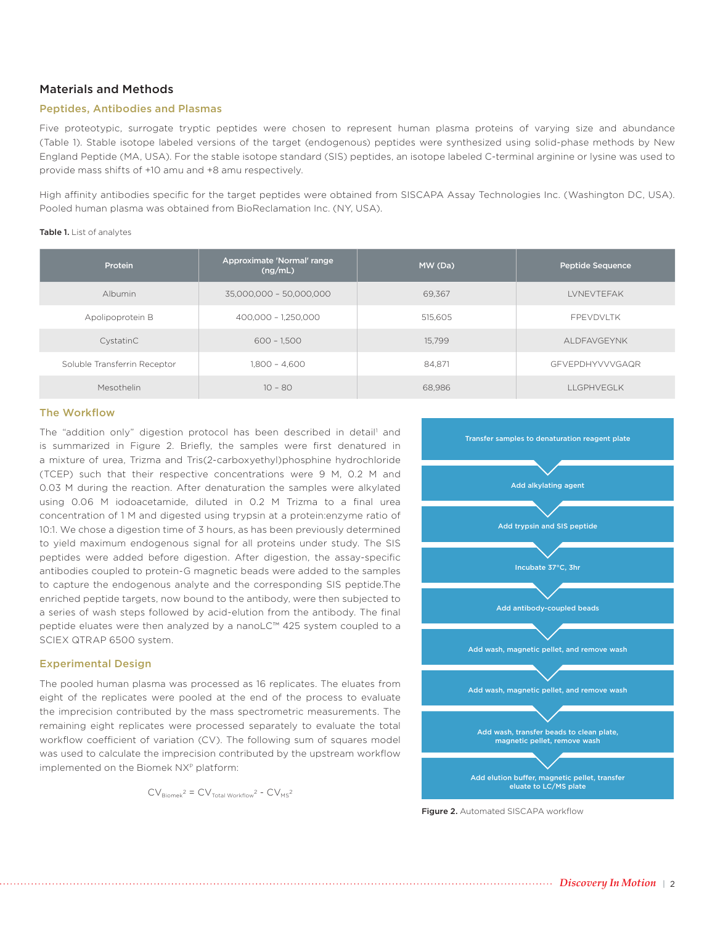## Materials and Methods

## Peptides, Antibodies and Plasmas

Five proteotypic, surrogate tryptic peptides were chosen to represent human plasma proteins of varying size and abundance (Table 1). Stable isotope labeled versions of the target (endogenous) peptides were synthesized using solid-phase methods by New England Peptide (MA, USA). For the stable isotope standard (SIS) peptides, an isotope labeled C-terminal arginine or lysine was used to provide mass shifts of +10 amu and +8 amu respectively.

High affinity antibodies specific for the target peptides were obtained from SISCAPA Assay Technologies Inc. (Washington DC, USA). Pooled human plasma was obtained from BioReclamation Inc. (NY, USA).

#### Table 1. List of analytes

| Protein                      | Approximate 'Normal' range<br>(ng/mL) | MW (Da) | Peptide Sequence,      |
|------------------------------|---------------------------------------|---------|------------------------|
| <b>Albumin</b>               | 35,000,000 - 50,000,000               | 69.367  | <b>LVNEVTEFAK</b>      |
| Apolipoprotein B             | 400,000 - 1,250,000                   | 515,605 | <b>FPFVDVITK</b>       |
| CystatinC                    | $600 - 1.500$                         | 15.799  | ALDFAVGEYNK            |
| Soluble Transferrin Receptor | 1.800 - 4.600                         | 84.871  | <b>GFVEPDHYVVVGAQR</b> |
| Mesothelin                   | $10 - 80$                             | 68.986  | <b>II GPHVEGIK</b>     |

## The Workflow

The "addition only" digestion protocol has been described in detail<sup>1</sup> and is summarized in Figure 2. Briefly, the samples were first denatured in a mixture of urea, Trizma and Tris(2-carboxyethyl)phosphine hydrochloride (TCEP) such that their respective concentrations were 9 M, 0.2 M and 0.03 M during the reaction. After denaturation the samples were alkylated using 0.06 M iodoacetamide, diluted in 0.2 M Trizma to a final urea concentration of 1 M and digested using trypsin at a protein:enzyme ratio of 10:1. We chose a digestion time of 3 hours, as has been previously determined to yield maximum endogenous signal for all proteins under study. The SIS peptides were added before digestion. After digestion, the assay-specific antibodies coupled to protein-G magnetic beads were added to the samples to capture the endogenous analyte and the corresponding SIS peptide.The enriched peptide targets, now bound to the antibody, were then subjected to a series of wash steps followed by acid-elution from the antibody. The final peptide eluates were then analyzed by a nanoLC™ 425 system coupled to a SCIEX QTRAP 6500 system.

## Experimental Design

The pooled human plasma was processed as 16 replicates. The eluates from eight of the replicates were pooled at the end of the process to evaluate the imprecision contributed by the mass spectrometric measurements. The remaining eight replicates were processed separately to evaluate the total workflow coefficient of variation (CV). The following sum of squares model was used to calculate the imprecision contributed by the upstream workflow implemented on the Biomek NX<sup>P</sup> platform:

$$
CV_{\text{Biomek}^2} = CV_{\text{Total Workflow}^2} - CV_{\text{MS}^2}
$$



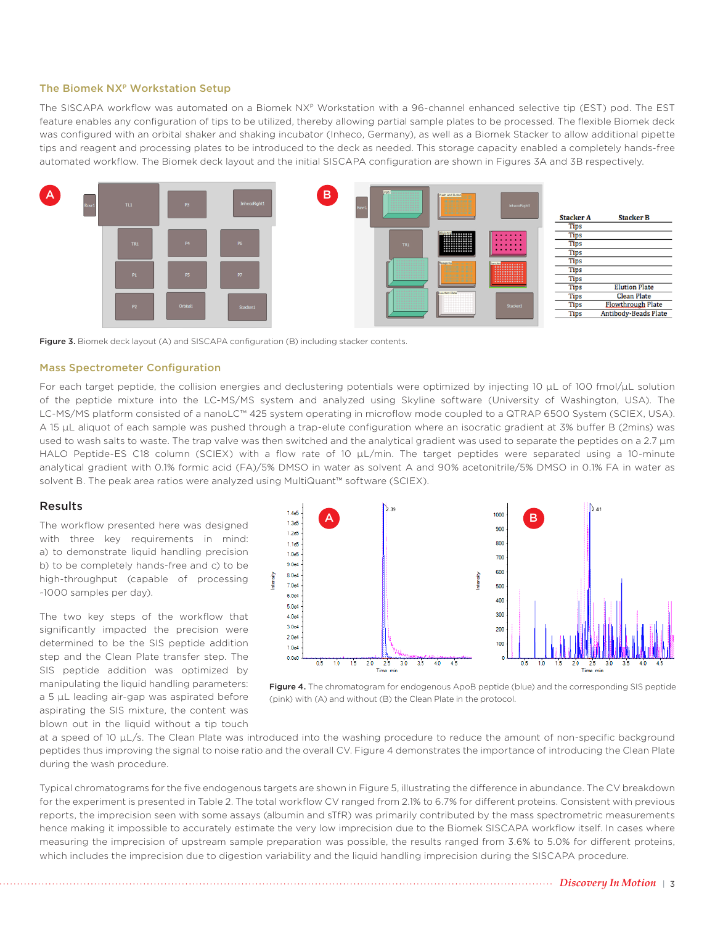## The Biomek NXP Workstation Setup

The SISCAPA workflow was automated on a Biomek NXP Workstation with a 96-channel enhanced selective tip (EST) pod. The EST feature enables any configuration of tips to be utilized, thereby allowing partial sample plates to be processed. The flexible Biomek deck was configured with an orbital shaker and shaking incubator (Inheco, Germany), as well as a Biomek Stacker to allow additional pipette tips and reagent and processing plates to be introduced to the deck as needed. This storage capacity enabled a completely hands-free automated workflow. The Biomek deck layout and the initial SISCAPA configuration are shown in Figures 3A and 3B respectively.



Figure 3. Biomek deck layout (A) and SISCAPA configuration (B) including stacker contents.

#### Mass Spectrometer Configuration

For each target peptide, the collision energies and declustering potentials were optimized by injecting 10 µL of 100 fmol/µL solution of the peptide mixture into the LC-MS/MS system and analyzed using Skyline software (University of Washington, USA). The LC-MS/MS platform consisted of a nanoLC™ 425 system operating in microflow mode coupled to a QTRAP 6500 System (SCIEX, USA). A 15 µL aliquot of each sample was pushed through a trap-elute configuration where an isocratic gradient at 3% buffer B (2mins) was used to wash salts to waste. The trap valve was then switched and the analytical gradient was used to separate the peptides on a 2.7 µm HALO Peptide-ES C18 column (SCIEX) with a flow rate of 10 µL/min. The target peptides were separated using a 10-minute analytical gradient with 0.1% formic acid (FA)/5% DMSO in water as solvent A and 90% acetonitrile/5% DMSO in 0.1% FA in water as solvent B. The peak area ratios were analyzed using MultiQuant™ software (SCIEX).

#### Results

The workflow presented here was designed with three key requirements in mind: a) to demonstrate liquid handling precision b) to be completely hands-free and c) to be high-throughput (capable of processing ~1000 samples per day).

The two key steps of the workflow that significantly impacted the precision were determined to be the SIS peptide addition step and the Clean Plate transfer step. The SIS peptide addition was optimized by manipulating the liquid handling parameters: a 5 µL leading air-gap was aspirated before aspirating the SIS mixture, the content was blown out in the liquid without a tip touch





at a speed of 10 µL/s. The Clean Plate was introduced into the washing procedure to reduce the amount of non-specific background peptides thus improving the signal to noise ratio and the overall CV. Figure 4 demonstrates the importance of introducing the Clean Plate during the wash procedure.

Typical chromatograms for the five endogenous targets are shown in Figure 5, illustrating the difference in abundance. The CV breakdown for the experiment is presented in Table 2. The total workflow CV ranged from 2.1% to 6.7% for different proteins. Consistent with previous reports, the imprecision seen with some assays (albumin and sTfR) was primarily contributed by the mass spectrometric measurements hence making it impossible to accurately estimate the very low imprecision due to the Biomek SISCAPA workflow itself. In cases where measuring the imprecision of upstream sample preparation was possible, the results ranged from 3.6% to 5.0% for different proteins, which includes the imprecision due to digestion variability and the liquid handling imprecision during the SISCAPA procedure.